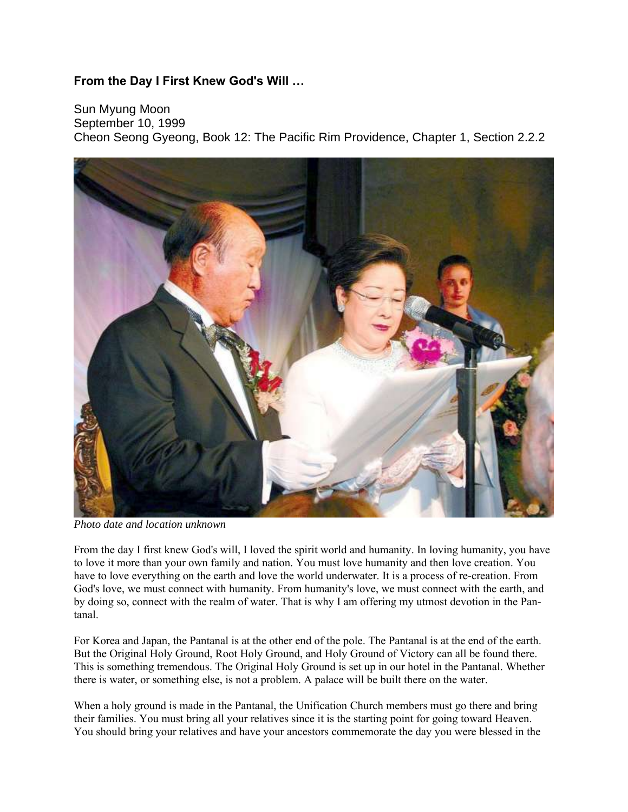## **From the Day I First Knew God's Will …**

Sun Myung Moon September 10, 1999 Cheon Seong Gyeong, Book 12: The Pacific Rim Providence, Chapter 1, Section 2.2.2



*Photo date and location unknown*

From the day I first knew God's will, I loved the spirit world and humanity. In loving humanity, you have to love it more than your own family and nation. You must love humanity and then love creation. You have to love everything on the earth and love the world underwater. It is a process of re-creation. From God's love, we must connect with humanity. From humanity's love, we must connect with the earth, and by doing so, connect with the realm of water. That is why I am offering my utmost devotion in the Pantanal.

For Korea and Japan, the Pantanal is at the other end of the pole. The Pantanal is at the end of the earth. But the Original Holy Ground, Root Holy Ground, and Holy Ground of Victory can all be found there. This is something tremendous. The Original Holy Ground is set up in our hotel in the Pantanal. Whether there is water, or something else, is not a problem. A palace will be built there on the water.

When a holy ground is made in the Pantanal, the Unification Church members must go there and bring their families. You must bring all your relatives since it is the starting point for going toward Heaven. You should bring your relatives and have your ancestors commemorate the day you were blessed in the